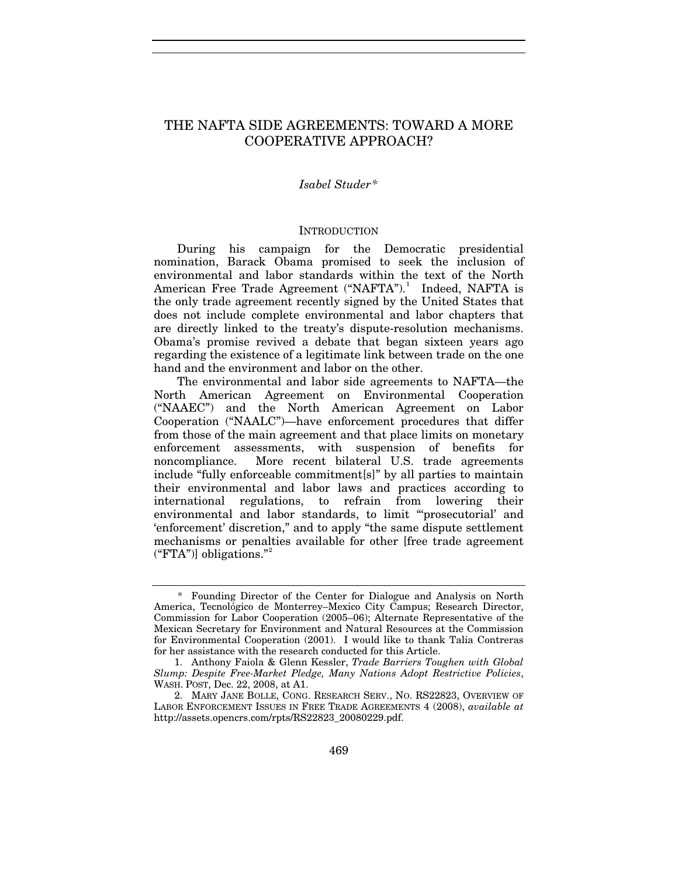# THE NAFTA SIDE AGREEMENTS: TOWARD A MORE COOPERATIVE APPROACH?

## *Isabel Studer[\\*](#page-0-0)*

#### **INTRODUCTION**

During his campaign for the Democratic presidential nomination, Barack Obama promised to seek the inclusion of environmental and labor standards within the text of the North American Free Trade Agreement ("NAFTA").<sup>[1](#page-0-1)</sup> Indeed, NAFTA is the only trade agreement recently signed by the United States that does not include complete environmental and labor chapters that are directly linked to the treaty's dispute-resolution mechanisms. Obama's promise revived a debate that began sixteen years ago regarding the existence of a legitimate link between trade on the one hand and the environment and labor on the other.

The environmental and labor side agreements to NAFTA—the North American Agreement on Environmental Cooperation ("NAAEC") and the North American Agreement on Labor Cooperation ("NAALC")—have enforcement procedures that differ from those of the main agreement and that place limits on monetary enforcement assessments, with suspension of benefits for noncompliance. More recent bilateral U.S. trade agreements include "fully enforceable commitment[s]" by all parties to maintain their environmental and labor laws and practices according to international regulations, to refrain from lowering their environmental and labor standards, to limit "'prosecutorial' and 'enforcement' discretion," and to apply "the same dispute settlement mechanisms or penalties available for other [free trade agreement ("FTA")] obligations."[2](#page-0-2)

<span id="page-0-0"></span><sup>\*</sup> Founding Director of the Center for Dialogue and Analysis on North America, Tecnológico de Monterrey–Mexico City Campus; Research Director, Commission for Labor Cooperation (2005–06); Alternate Representative of the Mexican Secretary for Environment and Natural Resources at the Commission for Environmental Cooperation (2001). I would like to thank Talia Contreras for her assistance with the research conducted for this Article.

<span id="page-0-1"></span><sup>1.</sup> Anthony Faiola & Glenn Kessler, *Trade Barriers Toughen with Global Slump: Despite Free-Market Pledge, Many Nations Adopt Restrictive Policies*, WASH. POST, Dec. 22, 2008, at A1.

<span id="page-0-2"></span><sup>2.</sup> MARY JANE BOLLE, CONG. RESEARCH SERV., NO. RS22823, OVERVIEW OF LABOR ENFORCEMENT ISSUES IN FREE TRADE AGREEMENTS 4 (2008), *available at* http://assets.opencrs.com/rpts/RS22823\_20080229.pdf.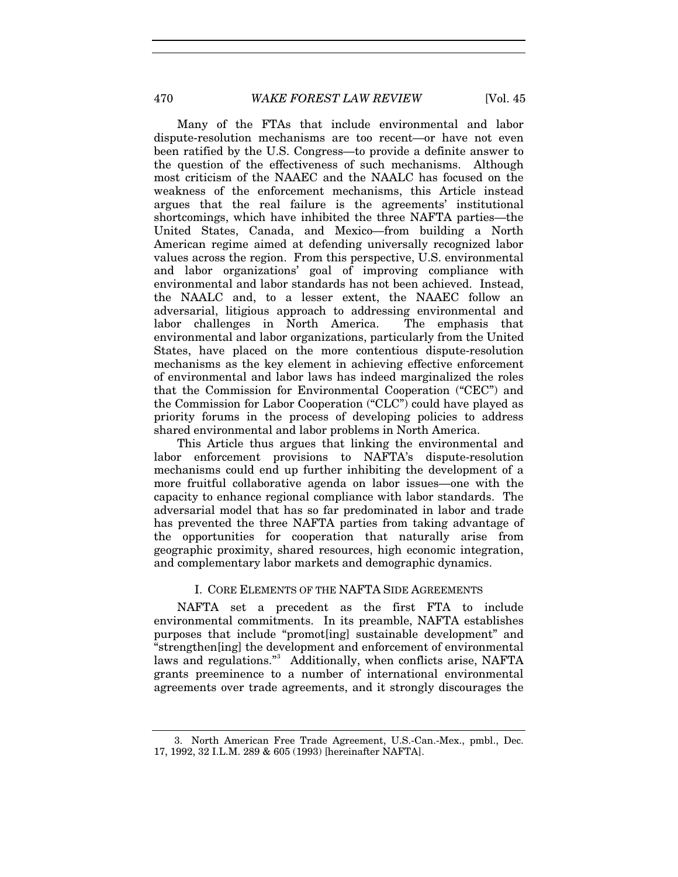Many of the FTAs that include environmental and labor dispute-resolution mechanisms are too recent—or have not even been ratified by the U.S. Congress—to provide a definite answer to the question of the effectiveness of such mechanisms. Although most criticism of the NAAEC and the NAALC has focused on the weakness of the enforcement mechanisms, this Article instead argues that the real failure is the agreements' institutional shortcomings, which have inhibited the three NAFTA parties—the United States, Canada, and Mexico—from building a North American regime aimed at defending universally recognized labor values across the region. From this perspective, U.S. environmental and labor organizations' goal of improving compliance with environmental and labor standards has not been achieved. Instead, the NAALC and, to a lesser extent, the NAAEC follow an adversarial, litigious approach to addressing environmental and labor challenges in North America. The emphasis that environmental and labor organizations, particularly from the United States, have placed on the more contentious dispute-resolution mechanisms as the key element in achieving effective enforcement of environmental and labor laws has indeed marginalized the roles that the Commission for Environmental Cooperation ("CEC") and the Commission for Labor Cooperation ("CLC") could have played as priority forums in the process of developing policies to address shared environmental and labor problems in North America.

This Article thus argues that linking the environmental and labor enforcement provisions to NAFTA's dispute-resolution mechanisms could end up further inhibiting the development of a more fruitful collaborative agenda on labor issues—one with the capacity to enhance regional compliance with labor standards. The adversarial model that has so far predominated in labor and trade has prevented the three NAFTA parties from taking advantage of the opportunities for cooperation that naturally arise from geographic proximity, shared resources, high economic integration, and complementary labor markets and demographic dynamics.

#### I. CORE ELEMENTS OF THE NAFTA SIDE AGREEMENTS

NAFTA set a precedent as the first FTA to include environmental commitments. In its preamble, NAFTA establishes purposes that include "promot[ing] sustainable development" and "strengthen[ing] the development and enforcement of environmental laws and regulations."<sup>[3](#page-1-0)</sup> Additionally, when conflicts arise, NAFTA grants preeminence to a number of international environmental agreements over trade agreements, and it strongly discourages the

<span id="page-1-0"></span><sup>3.</sup> North American Free Trade Agreement, U.S.-Can.-Mex., pmbl., Dec. 17, 1992, 32 I.L.M. 289 & 605 (1993) [hereinafter NAFTA].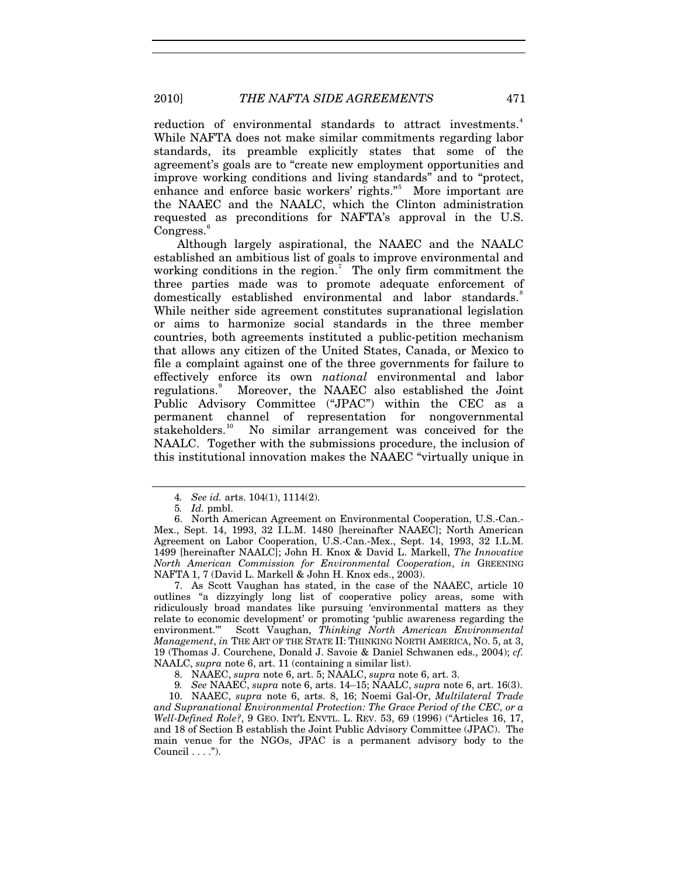reduction of environmental standards to attract investments.<sup>[4](#page-2-0)</sup> While NAFTA does not make similar commitments regarding labor standards, its preamble explicitly states that some of the agreement's goals are to "create new employment opportunities and improve working conditions and living standards" and to "protect, enhance and enforce basic workers' rights."<sup>[5](#page-2-1)</sup> More important are the NAAEC and the NAALC, which the Clinton administration requested as preconditions for NAFTA's approval in the U.S. Congress.<sup>[6](#page-2-2)</sup>

Although largely aspirational, the NAAEC and the NAALC established an ambitious list of goals to improve environmental and working conditions in the region.<sup>[7](#page-2-3)</sup> The only firm commitment the three parties made was to promote adequate enforcement of domestically established environmental and labor standards.<sup>[8](#page-2-4)</sup> While neither side agreement constitutes supranational legislation or aims to harmonize social standards in the three member countries, both agreements instituted a public-petition mechanism that allows any citizen of the United States, Canada, or Mexico to file a complaint against one of the three governments for failure to effectively enforce its own *national* environmental and labor regulations.<sup>[9](#page-2-5)</sup> Moreover, the NAAEC also established the Joint Public Advisory Committee ("JPAC") within the CEC as a permanent channel of representation for nongovernmental stakeholders.[10](#page-2-6) No similar arrangement was conceived for the NAALC. Together with the submissions procedure, the inclusion of this institutional innovation makes the NAAEC "virtually unique in

<span id="page-2-3"></span>7. As Scott Vaughan has stated, in the case of the NAAEC, article 10 outlines "a dizzyingly long list of cooperative policy areas, some with ridiculously broad mandates like pursuing 'environmental matters as they relate to economic development' or promoting 'public awareness regarding the environment.'" Scott Vaughan, *Thinking North American Environmental Management*, *in* THE ART OF THE STATE II: THINKING NORTH AMERICA, NO. 5, at 3, 19 (Thomas J. Courchene, Donald J. Savoie & Daniel Schwanen eds., 2004); *cf.* NAALC, *supra* note 6, art. 11 (containing a similar list).

<span id="page-2-6"></span><span id="page-2-5"></span><span id="page-2-4"></span>10. NAAEC, *supra* note 6, arts. 8, 16; Noemi Gal-Or, *Multilateral Trade and Supranational Environmental Protection: The Grace Period of the CEC, or a Well-Defined Role?*, 9 GEO. INT'L ENVTL. L. REV. 53, 69 (1996) ("Articles 16, 17, and 18 of Section B establish the Joint Public Advisory Committee (JPAC). The main venue for the NGOs, JPAC is a permanent advisory body to the Council  $\dots$ ").

<sup>4</sup>*. See id.* arts. 104(1), 1114(2).

<sup>5</sup>*. Id.* pmbl.

<span id="page-2-2"></span><span id="page-2-1"></span><span id="page-2-0"></span><sup>6.</sup> North American Agreement on Environmental Cooperation, U.S.-Can.- Mex., Sept. 14, 1993, 32 I.L.M. 1480 [hereinafter NAAEC]; North American Agreement on Labor Cooperation, U.S.-Can.-Mex., Sept. 14, 1993, 32 I.L.M. 1499 [hereinafter NAALC]; John H. Knox & David L. Markell, *The Innovative North American Commission for Environmental Cooperation*, *in* GREENING NAFTA 1, 7 (David L. Markell & John H. Knox eds., 2003).

<sup>8.</sup> NAAEC, *supra* note 6, art. 5; NAALC, *supra* note 6, art. 3.

<sup>9</sup>*. See* NAAEC, *supra* note 6, arts. 14–15; NAALC, *supra* note 6, art. 16(3).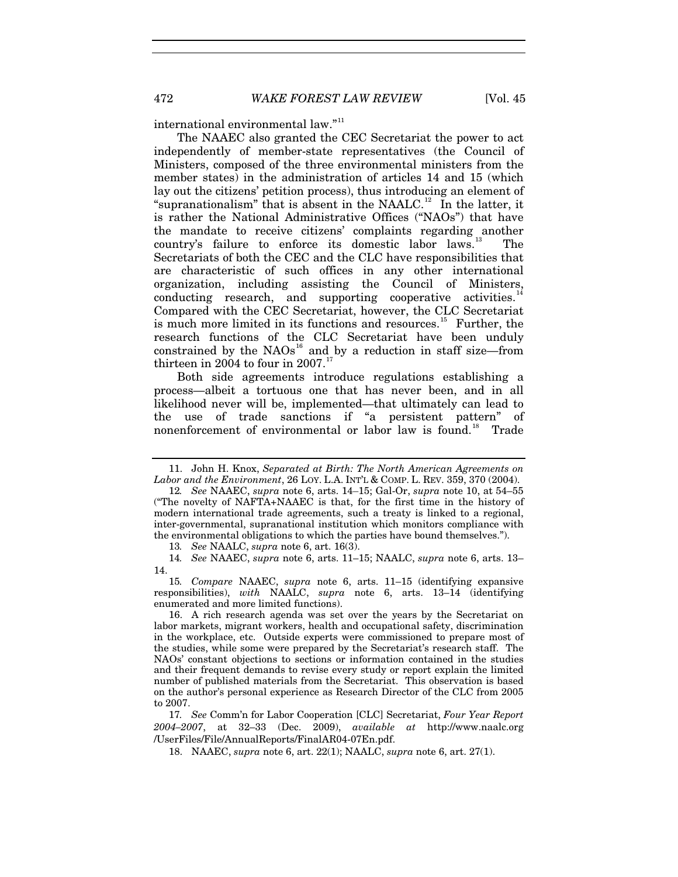international environmental law."<sup>[11](#page-3-0)</sup>

The NAAEC also granted the CEC Secretariat the power to act independently of member-state representatives (the Council of Ministers, composed of the three environmental ministers from the member states) in the administration of articles 14 and 15 (which lay out the citizens' petition process), thus introducing an element of "supranationalism" that is absent in the NAALC.<sup>[12](#page-3-1)</sup> In the latter, it is rather the National Administrative Offices ("NAOs") that have the mandate to receive citizens' complaints regarding another country's failure to enforce its domestic labor laws.<sup>[13](#page-3-2)</sup> The Secretariats of both the CEC and the CLC have responsibilities that are characteristic of such offices in any other international organization, including assisting the Council of Ministers, conducting research, and supporting cooperative activities.<sup>1</sup> Compared with the CEC Secretariat, however, the CLC Secretariat is much more limited in its functions and resources.<sup>[15](#page-3-4)</sup> Further, the research functions of the CLC Secretariat have been unduly constrained by the  $NAOs^{16}$  $NAOs^{16}$  $NAOs^{16}$  and by a reduction in staff size—from thirteen in 2004 to four in  $2007$ .<sup>1</sup>

Both side agreements introduce regulations establishing a process—albeit a tortuous one that has never been, and in all likelihood never will be, implemented—that ultimately can lead to the use of trade sanctions if "a persistent pattern" of nonenforcement of environmental or labor law is found.<sup>[18](#page-3-7)</sup> Trade

13*. See* NAALC, *supra* note 6, art. 16(3).

<span id="page-3-3"></span><span id="page-3-2"></span>14*. See* NAAEC, *supra* note 6, arts. 11–15; NAALC, *supra* note 6, arts. 13– 14.

<span id="page-3-4"></span>15*. Compare* NAAEC, *supra* note 6, arts. 11–15 (identifying expansive responsibilities), *with* NAALC, *supra* note 6, arts. 13–14 (identifying enumerated and more limited functions).

<span id="page-3-5"></span>16. A rich research agenda was set over the years by the Secretariat on labor markets, migrant workers, health and occupational safety, discrimination in the workplace, etc. Outside experts were commissioned to prepare most of the studies, while some were prepared by the Secretariat's research staff. The NAOs' constant objections to sections or information contained in the studies and their frequent demands to revise every study or report explain the limited number of published materials from the Secretariat. This observation is based on the author's personal experience as Research Director of the CLC from 2005 to 2007.

<span id="page-3-7"></span><span id="page-3-6"></span>17*. See* Comm'n for Labor Cooperation [CLC] Secretariat, *Four Year Report 2004–2007*, at 32–33 (Dec. 2009), *available at* http://www.naalc.org /UserFiles/File/AnnualReports/FinalAR04-07En.pdf.

18. NAAEC, *supra* note 6, art. 22(1); NAALC, *supra* note 6, art. 27(1).

<span id="page-3-0"></span><sup>11.</sup> John H. Knox, *Separated at Birth: The North American Agreements on Labor and the Environment*, 26 LOY. L.A. INT'L & COMP. L. REV. 359, 370 (2004).

<span id="page-3-1"></span><sup>12</sup>*. See* NAAEC, *supra* note 6, arts. 14–15; Gal-Or, *supra* note 10, at 54–55 ("The novelty of NAFTA+NAAEC is that, for the first time in the history of modern international trade agreements, such a treaty is linked to a regional, inter-governmental, supranational institution which monitors compliance with the environmental obligations to which the parties have bound themselves.").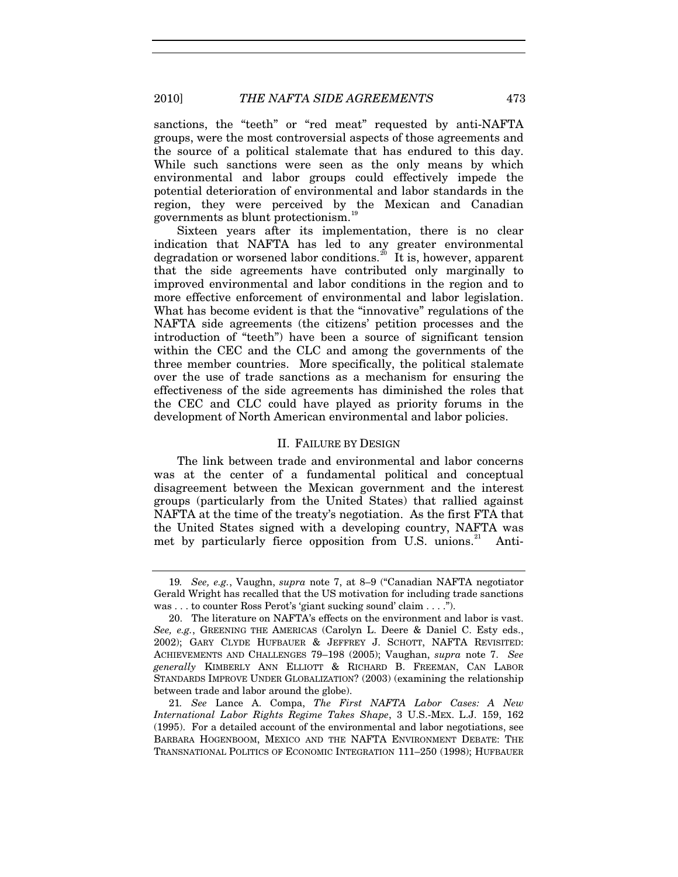sanctions, the "teeth" or "red meat" requested by anti-NAFTA groups, were the most controversial aspects of those agreements and the source of a political stalemate that has endured to this day. While such sanctions were seen as the only means by which environmental and labor groups could effectively impede the potential deterioration of environmental and labor standards in the region, they were perceived by the Mexican and Canadian governments as blunt protectionism.[19](#page-4-0)

Sixteen years after its implementation, there is no clear indication that NAFTA has led to any greater environmental degradation or worsened labor conditions.<sup>[20](#page-4-1)</sup> It is, however, apparent that the side agreements have contributed only marginally to improved environmental and labor conditions in the region and to more effective enforcement of environmental and labor legislation. What has become evident is that the "innovative" regulations of the NAFTA side agreements (the citizens' petition processes and the introduction of "teeth") have been a source of significant tension within the CEC and the CLC and among the governments of the three member countries. More specifically, the political stalemate over the use of trade sanctions as a mechanism for ensuring the effectiveness of the side agreements has diminished the roles that the CEC and CLC could have played as priority forums in the development of North American environmental and labor policies.

#### II. FAILURE BY DESIGN

The link between trade and environmental and labor concerns was at the center of a fundamental political and conceptual disagreement between the Mexican government and the interest groups (particularly from the United States) that rallied against NAFTA at the time of the treaty's negotiation. As the first FTA that the United States signed with a developing country, NAFTA was met by particularly fierce opposition from U.S. unions.<sup>[21](#page-4-2)</sup> Anti-

<span id="page-4-0"></span><sup>19</sup>*. See, e.g.*, Vaughn, *supra* note 7, at 8–9 ("Canadian NAFTA negotiator Gerald Wright has recalled that the US motivation for including trade sanctions was . . . to counter Ross Perot's 'giant sucking sound' claim . . . .").

<span id="page-4-1"></span><sup>20.</sup> The literature on NAFTA's effects on the environment and labor is vast. *See, e.g.*, GREENING THE AMERICAS (Carolyn L. Deere & Daniel C. Esty eds., 2002); GARY CLYDE HUFBAUER & JEFFREY J. SCHOTT, NAFTA REVISITED: ACHIEVEMENTS AND CHALLENGES 79–198 (2005); Vaughan, *supra* note 7. *See generally* KIMBERLY ANN ELLIOTT & RICHARD B. FREEMAN, CAN LABOR STANDARDS IMPROVE UNDER GLOBALIZATION? (2003) (examining the relationship between trade and labor around the globe).

<span id="page-4-2"></span><sup>21</sup>*. See* Lance A. Compa, *The First NAFTA Labor Cases: A New International Labor Rights Regime Takes Shape*, 3 U.S.-MEX. L.J. 159, 162 (1995). For a detailed account of the environmental and labor negotiations, see BARBARA HOGENBOOM, MEXICO AND THE NAFTA ENVIRONMENT DEBATE: THE TRANSNATIONAL POLITICS OF ECONOMIC INTEGRATION 111–250 (1998); HUFBAUER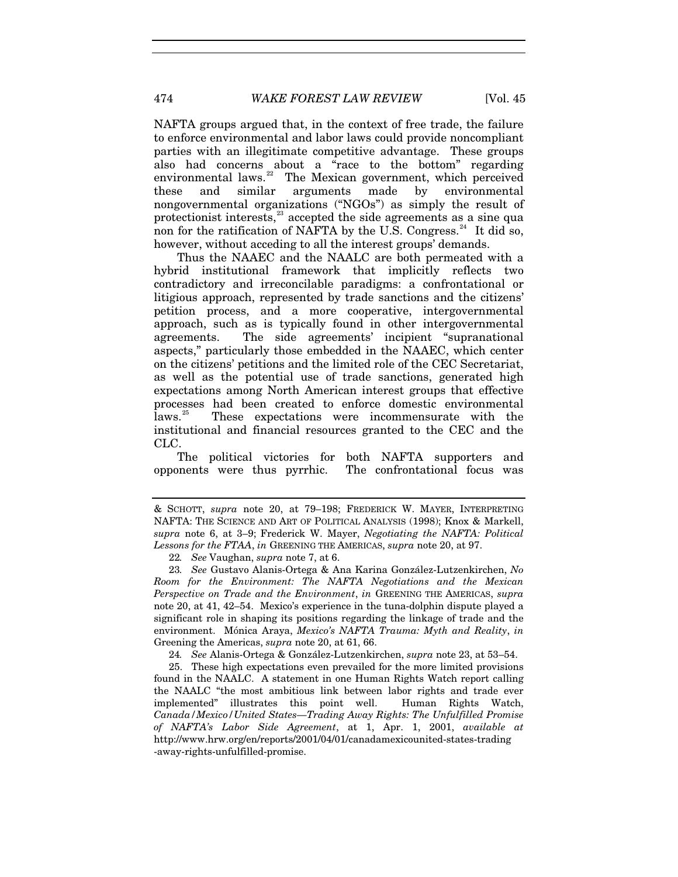NAFTA groups argued that, in the context of free trade, the failure to enforce environmental and labor laws could provide noncompliant parties with an illegitimate competitive advantage. These groups also had concerns about a "race to the bottom" regarding environmental laws. $22$  The Mexican government, which perceived these and similar arguments made by environmental nongovernmental organizations ("NGOs") as simply the result of protectionist interests, $^{23}$  $^{23}$  $^{23}$  accepted the side agreements as a sine qua non for the ratification of NAFTA by the U.S. Congress.<sup>24</sup> It did so, however, without acceding to all the interest groups' demands.

Thus the NAAEC and the NAALC are both permeated with a hybrid institutional framework that implicitly reflects two contradictory and irreconcilable paradigms: a confrontational or litigious approach, represented by trade sanctions and the citizens' petition process, and a more cooperative, intergovernmental approach, such as is typically found in other intergovernmental agreements. The side agreements' incipient "supranational aspects," particularly those embedded in the NAAEC, which center on the citizens' petitions and the limited role of the CEC Secretariat, as well as the potential use of trade sanctions, generated high expectations among North American interest groups that effective processes had been created to enforce domestic environmental laws.<sup>[25](#page-5-3)</sup> These expectations were incommensurate with the institutional and financial resources granted to the CEC and the CLC.

The political victories for both NAFTA supporters and opponents were thus pyrrhic. The confrontational focus was

24*. See* Alanis-Ortega & González-Lutzenkirchen, *supra* note 23, at 53–54.

<span id="page-5-3"></span><span id="page-5-2"></span>25. These high expectations even prevailed for the more limited provisions found in the NAALC. A statement in one Human Rights Watch report calling the NAALC "the most ambitious link between labor rights and trade ever implemented" illustrates this point well. Human Rights Watch, *Canada/Mexico/United States—Trading Away Rights: The Unfulfilled Promise of NAFTA's Labor Side Agreement*, at 1, Apr. 1, 2001, *available at* http://www.hrw.org/en/reports/2001/04/01/canadamexicounited-states-trading -away-rights-unfulfilled-promise.

<sup>&</sup>amp; SCHOTT, *supra* note 20, at 79–198; FREDERICK W. MAYER, INTERPRETING NAFTA: THE SCIENCE AND ART OF POLITICAL ANALYSIS (1998); Knox & Markell, *supra* note 6, at 3–9; Frederick W. Mayer, *Negotiating the NAFTA: Political Lessons for the FTAA*, *in* GREENING THE AMERICAS, *supra* note 20, at 97.

<sup>22</sup>*. See* Vaughan, *supra* note 7, at 6.

<span id="page-5-1"></span><span id="page-5-0"></span><sup>23</sup>*. See* Gustavo Alanis-Ortega & Ana Karina González-Lutzenkirchen, *No Room for the Environment: The NAFTA Negotiations and the Mexican Perspective on Trade and the Environment*, *in* GREENING THE AMERICAS, *supra*  note 20, at 41, 42–54. Mexico's experience in the tuna-dolphin dispute played a significant role in shaping its positions regarding the linkage of trade and the environment. Mónica Araya, *Mexico's NAFTA Trauma: Myth and Reality*, *in* Greening the Americas, *supra* note 20, at 61, 66.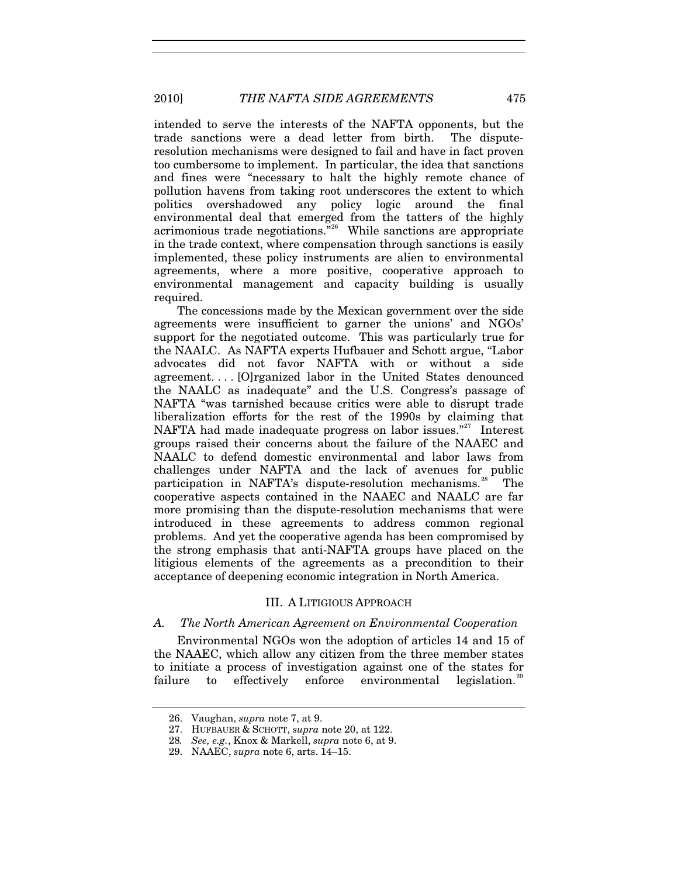intended to serve the interests of the NAFTA opponents, but the trade sanctions were a dead letter from birth. The disputeresolution mechanisms were designed to fail and have in fact proven too cumbersome to implement. In particular, the idea that sanctions and fines were "necessary to halt the highly remote chance of pollution havens from taking root underscores the extent to which politics overshadowed any policy logic around the final environmental deal that emerged from the tatters of the highly acrimonious trade negotiations."[26](#page-6-0) While sanctions are appropriate in the trade context, where compensation through sanctions is easily implemented, these policy instruments are alien to environmental agreements, where a more positive, cooperative approach to environmental management and capacity building is usually required.

The concessions made by the Mexican government over the side agreements were insufficient to garner the unions' and NGOs' support for the negotiated outcome. This was particularly true for the NAALC. As NAFTA experts Hufbauer and Schott argue, "Labor advocates did not favor NAFTA with or without a side agreement. . . . [O]rganized labor in the United States denounced the NAALC as inadequate" and the U.S. Congress's passage of NAFTA "was tarnished because critics were able to disrupt trade liberalization efforts for the rest of the 1990s by claiming that NAFTA had made inadequate progress on labor issues."<sup>[27](#page-6-1)</sup> Interest groups raised their concerns about the failure of the NAAEC and NAALC to defend domestic environmental and labor laws from challenges under NAFTA and the lack of avenues for public participation in NAFTA's dispute-resolution mechanisms.<sup>[28](#page-6-2)</sup> The cooperative aspects contained in the NAAEC and NAALC are far more promising than the dispute-resolution mechanisms that were introduced in these agreements to address common regional problems. And yet the cooperative agenda has been compromised by the strong emphasis that anti-NAFTA groups have placed on the litigious elements of the agreements as a precondition to their acceptance of deepening economic integration in North America.

# III. A LITIGIOUS APPROACH

#### *A. The North American Agreement on Environmental Cooperation*

Environmental NGOs won the adoption of articles 14 and 15 of the NAAEC, which allow any citizen from the three member states to initiate a process of investigation against one of the states for failure to effectively enforce environmental legislation.<sup>[29](#page-6-3)</sup>

<span id="page-6-0"></span><sup>26.</sup> Vaughan, *supra* note 7, at 9.

<span id="page-6-1"></span><sup>27.</sup> HUFBAUER & SCHOTT, *supra* note 20, at 122.

<span id="page-6-2"></span><sup>28</sup>*. See, e.g.*, Knox & Markell, *supra* note 6, at 9.

<span id="page-6-3"></span><sup>29.</sup> NAAEC, *supra* note 6, arts. 14–15.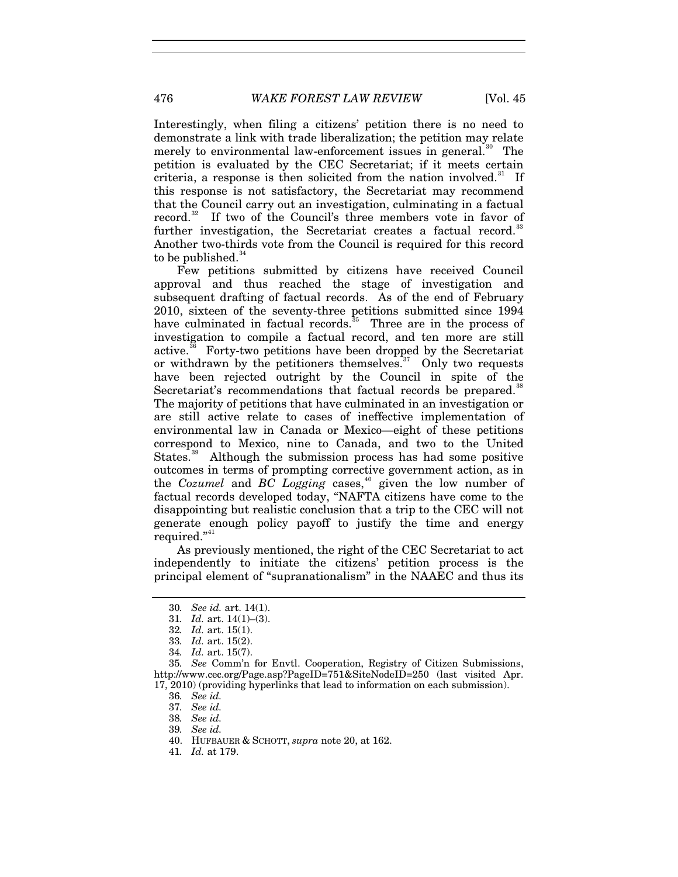Interestingly, when filing a citizens' petition there is no need to demonstrate a link with trade liberalization; the petition may relate merely to environmental law-enforcement issues in general.<sup>[30](#page-7-0)</sup> The petition is evaluated by the CEC Secretariat; if it meets certain criteria, a response is then solicited from the nation involved.<sup>[31](#page-7-1)</sup> If this response is not satisfactory, the Secretariat may recommend that the Council carry out an investigation, culminating in a factual record.<sup>[32](#page-7-2)</sup> If two of the Council's three members vote in favor of further investigation, the Secretariat creates a factual record.<sup>[33](#page-7-3)</sup> Another two-thirds vote from the Council is required for this record to be published. $34$ 

Few petitions submitted by citizens have received Council approval and thus reached the stage of investigation and subsequent drafting of factual records. As of the end of February 2010, sixteen of the seventy-three petitions submitted since 1994 have culminated in factual records.<sup>[35](#page-7-5)</sup> Three are in the process of investigation to compile a factual record, and ten more are still active.<sup>36</sup> Forty-two petitions have been dropped by the Secretariat Forty-two petitions have been dropped by the Secretariat or withdrawn by the petitioners themselves.<sup>[37](#page-7-7)</sup> Only two requests have been rejected outright by the Council in spite of the Secretariat's recommendations that factual records be prepared.<sup>[38](#page-7-8)</sup> The majority of petitions that have culminated in an investigation or are still active relate to cases of ineffective implementation of environmental law in Canada or Mexico—eight of these petitions correspond to Mexico, nine to Canada, and two to the United States.<sup>[39](#page-7-9)</sup> Although the submission process has had some positive outcomes in terms of prompting corrective government action, as in the *Cozumel* and *BC Logging* cases,<sup>[40](#page-7-10)</sup> given the low number of factual records developed today, "NAFTA citizens have come to the disappointing but realistic conclusion that a trip to the CEC will not generate enough policy payoff to justify the time and energy required."<sup>[41](#page-7-11)</sup>

As previously mentioned, the right of the CEC Secretariat to act independently to initiate the citizens' petition process is the principal element of "supranationalism" in the NAAEC and thus its

<sup>30</sup>*. See id.* art. 14(1).

<sup>31</sup>*. Id.* art. 14(1)–(3).

<sup>32</sup>*. Id.* art. 15(1).

<sup>33</sup>*. Id.* art. 15(2).

<sup>34</sup>*. Id.* art. 15(7).

<span id="page-7-9"></span><span id="page-7-8"></span><span id="page-7-7"></span><span id="page-7-6"></span><span id="page-7-5"></span><span id="page-7-4"></span><span id="page-7-3"></span><span id="page-7-2"></span><span id="page-7-1"></span><span id="page-7-0"></span><sup>35</sup>*. See* Comm'n for Envtl. Cooperation, Registry of Citizen Submissions, http://www.cec.org/Page.asp?PageID=751&SiteNodeID=250 (last visited Apr. 17, 2010) (providing hyperlinks that lead to information on each submission).

<sup>36</sup>*. See id.*

<sup>37</sup>*. See id.*

<sup>38</sup>*. See id.*

<sup>39</sup>*. See id.*

<span id="page-7-11"></span><span id="page-7-10"></span><sup>40.</sup> HUFBAUER & SCHOTT, *supra* note 20, at 162.

<sup>41</sup>*. Id.* at 179.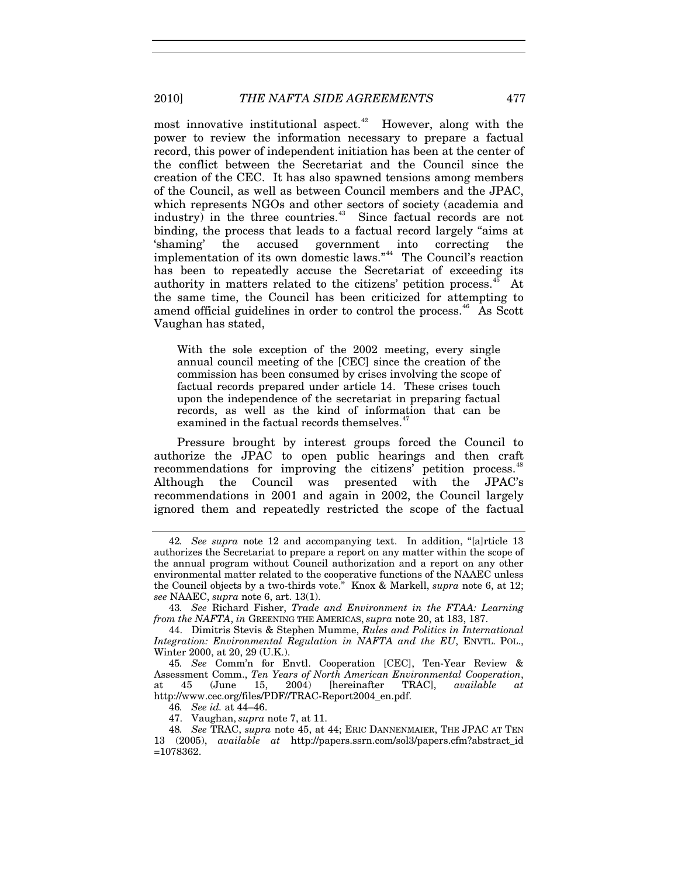most innovative institutional aspect. $42$  However, along with the power to review the information necessary to prepare a factual record, this power of independent initiation has been at the center of the conflict between the Secretariat and the Council since the creation of the CEC. It has also spawned tensions among members of the Council, as well as between Council members and the JPAC, which represents NGOs and other sectors of society (academia and industry) in the three countries.<sup>[43](#page-8-1)</sup> Since factual records are not binding, the process that leads to a factual record largely "aims at 'shaming' the accused government into correcting the implementation of its own domestic laws."<sup>[44](#page-8-2)</sup> The Council's reaction has been to repeatedly accuse the Secretariat of exceeding its authority in matters related to the citizens' petition process.<sup>[45](#page-8-3)</sup> At the same time, the Council has been criticized for attempting to amend official guidelines in order to control the process.<sup>[46](#page-8-4)</sup> As Scott Vaughan has stated,

With the sole exception of the 2002 meeting, every single annual council meeting of the [CEC] since the creation of the commission has been consumed by crises involving the scope of factual records prepared under article 14. These crises touch upon the independence of the secretariat in preparing factual records, as well as the kind of information that can be examined in the factual records themselves.<sup>4</sup>

Pressure brought by interest groups forced the Council to authorize the JPAC to open public hearings and then craft recommendations for improving the citizens' petition process.<sup>[48](#page-8-6)</sup> Although the Council was presented with the JPAC's recommendations in 2001 and again in 2002, the Council largely ignored them and repeatedly restricted the scope of the factual

<span id="page-8-0"></span><sup>42</sup>*. See supra* note 12 and accompanying text. In addition, "[a]rticle 13 authorizes the Secretariat to prepare a report on any matter within the scope of the annual program without Council authorization and a report on any other environmental matter related to the cooperative functions of the NAAEC unless the Council objects by a two-thirds vote." Knox & Markell, *supra* note 6, at 12; *see* NAAEC, *supra* note 6, art. 13(1).

<span id="page-8-1"></span><sup>43</sup>*. See* Richard Fisher, *Trade and Environment in the FTAA: Learning from the NAFTA*, *in* GREENING THE AMERICAS, *supra* note 20, at 183, 187.

<span id="page-8-2"></span><sup>44.</sup> Dimitris Stevis & Stephen Mumme, *Rules and Politics in International Integration: Environmental Regulation in NAFTA and the EU*, ENVTL. POL., Winter 2000, at 20, 29 (U.K.).

<span id="page-8-3"></span><sup>45</sup>*. See* Comm'n for Envtl. Cooperation [CEC], Ten-Year Review & Assessment Comm., *Ten Years of North American Environmental Cooperation*, at 45 (June 15, 2004) [hereinafter TRAC], *available at* http://www.cec.org/files/PDF//TRAC-Report2004\_en.pdf.

<sup>46</sup>*. See id.* at 44–46.

<sup>47.</sup> Vaughan, *supra* note 7, at 11.

<span id="page-8-6"></span><span id="page-8-5"></span><span id="page-8-4"></span><sup>48</sup>*. See* TRAC, *supra* note 45, at 44; ERIC DANNENMAIER, THE JPAC AT TEN 13 (2005), *available at* http://papers.ssrn.com/sol3/papers.cfm?abstract\_id =1078362.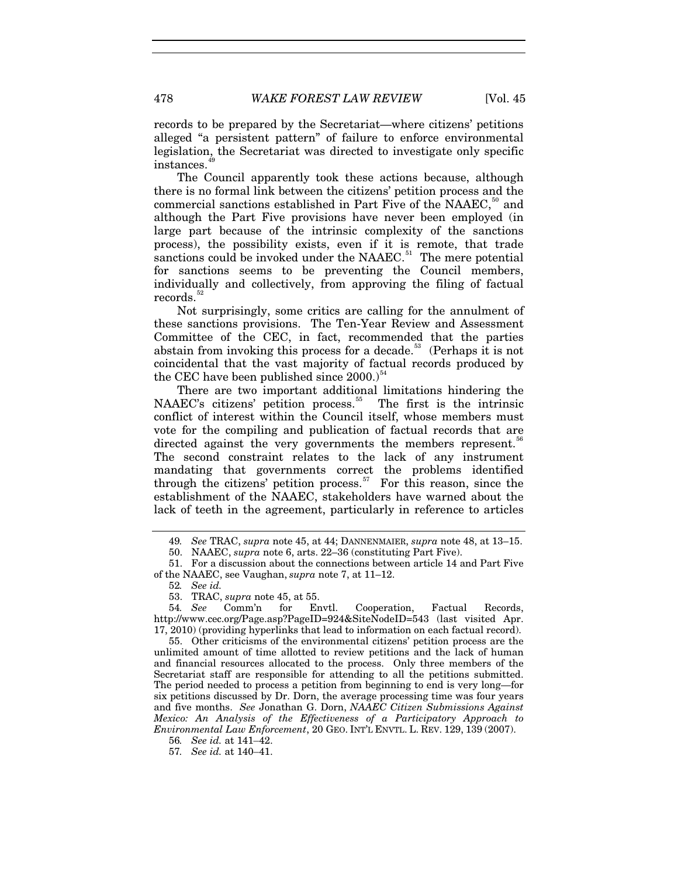records to be prepared by the Secretariat—where citizens' petitions alleged "a persistent pattern" of failure to enforce environmental legislation, the Secretariat was directed to investigate only specific instances.

The Council apparently took these actions because, although there is no formal link between the citizens' petition process and the commercial sanctions established in Part Five of the NAAEC,<sup>[50](#page-9-1)</sup> and although the Part Five provisions have never been employed (in large part because of the intrinsic complexity of the sanctions process), the possibility exists, even if it is remote, that trade sanctions could be invoked under the NAAEC.<sup>[51](#page-9-2)</sup> The mere potential for sanctions seems to be preventing the Council members, individually and collectively, from approving the filing of factual records.<sup>[52](#page-9-3)</sup>

Not surprisingly, some critics are calling for the annulment of these sanctions provisions. The Ten-Year Review and Assessment Committee of the CEC, in fact, recommended that the parties abstain from invoking this process for a decade.<sup>[53](#page-9-4)</sup> (Perhaps it is not coincidental that the vast majority of factual records produced by the CEC have been published since  $2000$ .)<sup>[54](#page-9-5)</sup>

There are two important additional limitations hindering the NAAEC's citizens' petition process.<sup>[55](#page-9-6)</sup> The first is the intrinsic conflict of interest within the Council itself, whose members must vote for the compiling and publication of factual records that are directed against the very governments the members represent.<sup>5</sup> The second constraint relates to the lack of any instrument mandating that governments correct the problems identified through the citizens' petition process.<sup>[57](#page-9-8)</sup> For this reason, since the establishment of the NAAEC, stakeholders have warned about the lack of teeth in the agreement, particularly in reference to articles

<span id="page-9-6"></span>55. Other criticisms of the environmental citizens' petition process are the unlimited amount of time allotted to review petitions and the lack of human and financial resources allocated to the process. Only three members of the Secretariat staff are responsible for attending to all the petitions submitted. The period needed to process a petition from beginning to end is very long—for six petitions discussed by Dr. Dorn, the average processing time was four years and five months. *See* Jonathan G. Dorn, *NAAEC Citizen Submissions Against Mexico: An Analysis of the Effectiveness of a Participatory Approach to Environmental Law Enforcement*, 20 GEO. INT'L ENVTL. L. REV. 129, 139 (2007).

<sup>49</sup>*. See* TRAC, *supra* note 45, at 44; DANNENMAIER, *supra* note 48, at 13–15.

<sup>50.</sup> NAAEC, *supra* note 6, arts. 22–36 (constituting Part Five).

<span id="page-9-3"></span><span id="page-9-2"></span><span id="page-9-1"></span><span id="page-9-0"></span><sup>51.</sup> For a discussion about the connections between article 14 and Part Five of the NAAEC, see Vaughan, *supra* note 7, at 11–12.

<sup>52</sup>*. See id.*

<sup>53.</sup> TRAC, *supra* note 45, at 55.

<span id="page-9-5"></span><span id="page-9-4"></span><sup>54</sup>*. See* Comm'n for Envtl. Cooperation, Factual Records, http://www.cec.org/Page.asp?PageID=924&SiteNodeID=543 (last visited Apr. 17, 2010) (providing hyperlinks that lead to information on each factual record).

<span id="page-9-8"></span><span id="page-9-7"></span><sup>56</sup>*. See id.* at 141–42.

<sup>57</sup>*. See id.* at 140–41.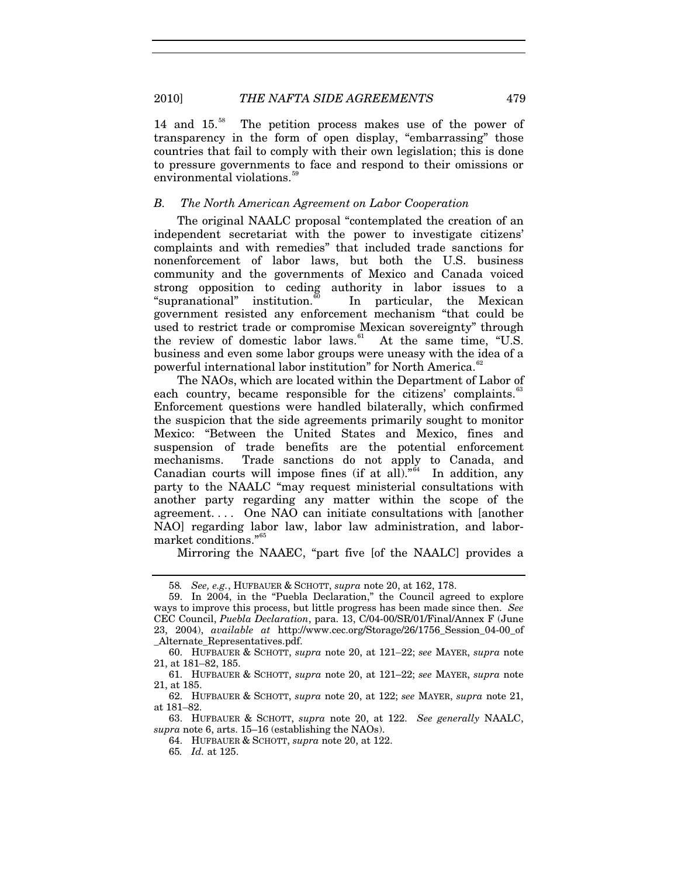2010] *THE NAFTA SIDE AGREEMENTS* 479

14 and 15.[58](#page-10-0) The petition process makes use of the power of transparency in the form of open display, "embarrassing" those countries that fail to comply with their own legislation; this is done to pressure governments to face and respond to their omissions or environmental violations.<sup>5</sup>

#### *B. The North American Agreement on Labor Cooperation*

The original NAALC proposal "contemplated the creation of an independent secretariat with the power to investigate citizens' complaints and with remedies" that included trade sanctions for nonenforcement of labor laws, but both the U.S. business community and the governments of Mexico and Canada voiced strong opposition to ceding authority in labor issues to a "supranational" institution.<sup>90</sup> In particular, the Mexican government resisted any enforcement mechanism "that could be used to restrict trade or compromise Mexican sovereignty" through the review of domestic labor laws.<sup>[61](#page-10-3)</sup> At the same time, "U.S. business and even some labor groups were uneasy with the idea of a powerful international labor institution" for North America.<sup>[62](#page-10-4)</sup>

The NAOs, which are located within the Department of Labor of each country, became responsible for the citizens' complaints. $\degree$ Enforcement questions were handled bilaterally, which confirmed the suspicion that the side agreements primarily sought to monitor Mexico: "Between the United States and Mexico, fines and suspension of trade benefits are the potential enforcement mechanisms. Trade sanctions do not apply to Canada, and Canadian courts will impose fines (if at all).<sup>"[64](#page-10-6)</sup> In addition, any party to the NAALC "may request ministerial consultations with another party regarding any matter within the scope of the agreement. . . . One NAO can initiate consultations with [another NAO] regarding labor law, labor law administration, and labor-market conditions."<sup>[65](#page-10-7)</sup>

Mirroring the NAAEC, "part five [of the NAALC] provides a

<span id="page-10-4"></span>62. HUFBAUER & SCHOTT, *supra* note 20, at 122; *see* MAYER, *supra* note 21, at 181–82.

<span id="page-10-7"></span><span id="page-10-6"></span><span id="page-10-5"></span>63. HUFBAUER & SCHOTT, *supra* note 20, at 122. *See generally* NAALC, *supra* note 6, arts. 15–16 (establishing the NAOs).

64. HUFBAUER & SCHOTT, *supra* note 20, at 122.

65*. Id.* at 125.

<sup>58</sup>*. See, e.g.*, HUFBAUER & SCHOTT, *supra* note 20, at 162, 178.

<span id="page-10-1"></span><span id="page-10-0"></span><sup>59.</sup> In 2004, in the "Puebla Declaration," the Council agreed to explore ways to improve this process, but little progress has been made since then. *See* CEC Council, *Puebla Declaration*, para. 13, C/04-00/SR/01/Final/Annex F (June 23, 2004), *available at* http://www.cec.org/Storage/26/1756\_Session\_04-00\_of \_Alternate\_Representatives.pdf.

<span id="page-10-2"></span><sup>60.</sup> HUFBAUER & SCHOTT, *supra* note 20, at 121–22; *see* MAYER, *supra* note 21, at 181–82, 185.

<span id="page-10-3"></span><sup>61.</sup> HUFBAUER & SCHOTT, *supra* note 20, at 121–22; *see* MAYER, *supra* note 21, at 185.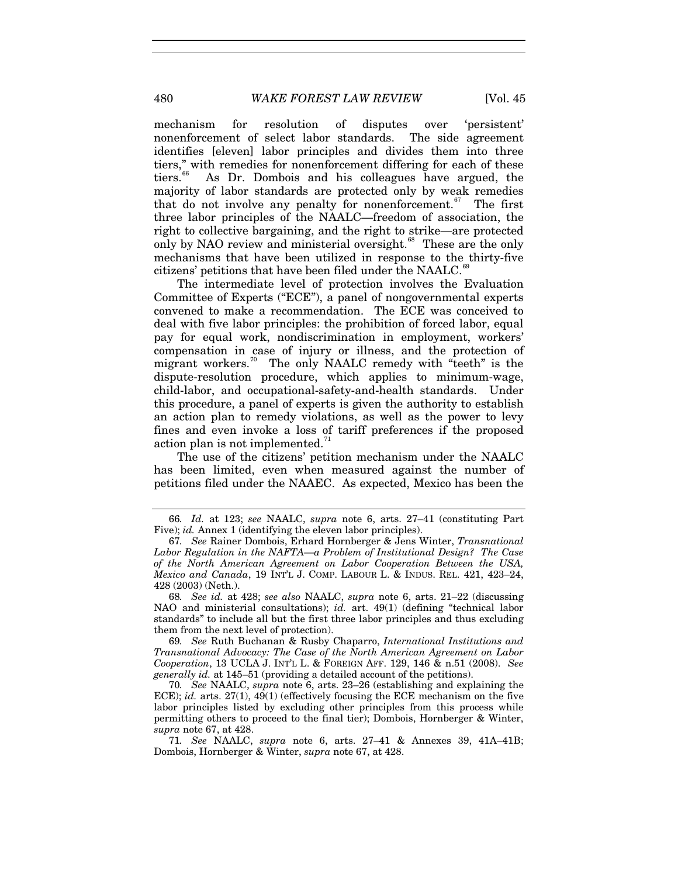mechanism for resolution of disputes over 'persistent' nonenforcement of select labor standards. The side agreement identifies [eleven] labor principles and divides them into three tiers," with remedies for nonenforcement differing for each of these tiers.<sup>66</sup> As Dr. Dombois and his colleagues have argued. the As Dr. Dombois and his colleagues have argued, the majority of labor standards are protected only by weak remedies that do not involve any penalty for nonenforcement.<sup>[67](#page-11-1)</sup> The first three labor principles of the NAALC—freedom of association, the right to collective bargaining, and the right to strike—are protected only by NAO review and ministerial oversight.<sup>[68](#page-11-2)</sup> These are the only mechanisms that have been utilized in response to the thirty-five citizens' petitions that have been filed under the NAALC.<sup>6</sup>

The intermediate level of protection involves the Evaluation Committee of Experts ("ECE"), a panel of nongovernmental experts convened to make a recommendation. The ECE was conceived to deal with five labor principles: the prohibition of forced labor, equal pay for equal work, nondiscrimination in employment, workers' compensation in case of injury or illness, and the protection of migrant workers.<sup>[70](#page-11-4)</sup> The only NAALC remedy with "teeth" is the dispute-resolution procedure, which applies to minimum-wage, child-labor, and occupational-safety-and-health standards. Under this procedure, a panel of experts is given the authority to establish an action plan to remedy violations, as well as the power to levy fines and even invoke a loss of tariff preferences if the proposed action plan is not implemented. $7$ 

The use of the citizens' petition mechanism under the NAALC has been limited, even when measured against the number of petitions filed under the NAAEC. As expected, Mexico has been the

<span id="page-11-0"></span><sup>66</sup>*. Id.* at 123; *see* NAALC, *supra* note 6, arts. 27–41 (constituting Part Five); *id.* Annex 1 (identifying the eleven labor principles).

<span id="page-11-1"></span><sup>67</sup>*. See* Rainer Dombois, Erhard Hornberger & Jens Winter, *Transnational Labor Regulation in the NAFTA—a Problem of Institutional Design? The Case of the North American Agreement on Labor Cooperation Between the USA, Mexico and Canada*, 19 INT'L J. COMP. LABOUR L. & INDUS. REL. 421, 423–24, 428 (2003) (Neth.).

<span id="page-11-2"></span><sup>68</sup>*. See id.* at 428; *see also* NAALC, *supra* note 6, arts. 21–22 (discussing NAO and ministerial consultations); *id.* art. 49(1) (defining "technical labor standards" to include all but the first three labor principles and thus excluding them from the next level of protection).

<span id="page-11-3"></span><sup>69</sup>*. See* Ruth Buchanan & Rusby Chaparro, *International Institutions and Transnational Advocacy: The Case of the North American Agreement on Labor Cooperation*, 13 UCLA J. INT'L L. & FOREIGN AFF. 129, 146 & n.51 (2008). *See generally id.* at 145–51 (providing a detailed account of the petitions).

<span id="page-11-4"></span><sup>70</sup>*. See* NAALC, *supra* note 6, arts. 23–26 (establishing and explaining the ECE); *id.* arts.  $27(1)$ ,  $49(1)$  (effectively focusing the ECE mechanism on the five labor principles listed by excluding other principles from this process while permitting others to proceed to the final tier); Dombois, Hornberger & Winter, *supra* note 67, at 428.

<span id="page-11-5"></span><sup>71</sup>*. See* NAALC, *supra* note 6, arts. 27–41 & Annexes 39, 41A–41B; Dombois, Hornberger & Winter, *supra* note 67, at 428.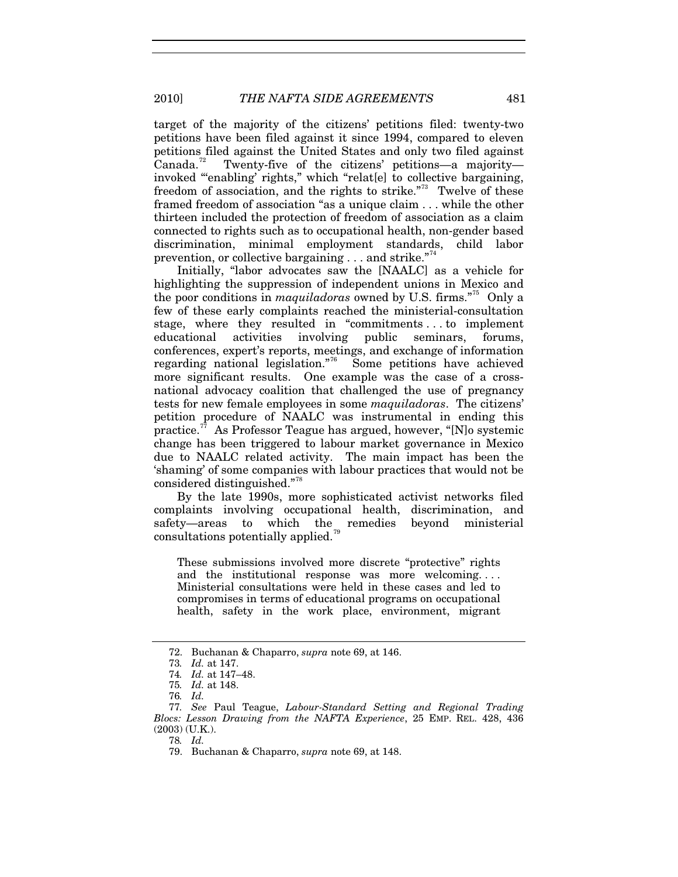target of the majority of the citizens' petitions filed: twenty-two petitions have been filed against it since 1994, compared to eleven petitions filed against the United States and only two filed against Canada.<sup>72</sup> Twenty-five of the citizens' petitions—a majority— Twenty-five of the citizens' petitions—a majority invoked "'enabling' rights," which "relat[e] to collective bargaining, freedom of association, and the rights to strike.<sup>"[73](#page-12-1)</sup> Twelve of these framed freedom of association "as a unique claim . . . while the other thirteen included the protection of freedom of association as a claim connected to rights such as to occupational health, non-gender based discrimination, minimal employment standards, child labor prevention, or collective bargaining  $\dots$  and strike."<sup>[74](#page-12-2)</sup>

Initially, "labor advocates saw the [NAALC] as a vehicle for highlighting the suppression of independent unions in Mexico and the poor conditions in *maquiladoras* owned by U.S. firms."[75](#page-12-3) Only a few of these early complaints reached the ministerial-consultation stage, where they resulted in "commitments . . . to implement educational activities involving public seminars, forums, conferences, expert's reports, meetings, and exchange of information regarding national legislation."<sup>6</sup> Some petitions have achieved more significant results. One example was the case of a crossnational advocacy coalition that challenged the use of pregnancy tests for new female employees in some *maquiladoras*. The citizens' petition procedure of NAALC was instrumental in ending this practice.<sup>[77](#page-12-5)</sup> As Professor Teague has argued, however, "[N]<sup>o</sup> systemic change has been triggered to labour market governance in Mexico due to NAALC related activity. The main impact has been the 'shaming' of some companies with labour practices that would not be considered distinguished."[78](#page-12-6)

By the late 1990s, more sophisticated activist networks filed complaints involving occupational health, discrimination, and safety—areas to which the remedies beyond ministerial consultations potentially applied.<sup>7</sup>

These submissions involved more discrete "protective" rights and the institutional response was more welcoming. . . . Ministerial consultations were held in these cases and led to compromises in terms of educational programs on occupational health, safety in the work place, environment, migrant

78*. Id.*

<sup>72.</sup> Buchanan & Chaparro, *supra* note 69, at 146.

<sup>73</sup>*. Id.* at 147.

<sup>74</sup>*. Id.* at 147–48.

<sup>75</sup>*. Id.* at 148.

<sup>76</sup>*. Id.*

<span id="page-12-7"></span><span id="page-12-6"></span><span id="page-12-5"></span><span id="page-12-4"></span><span id="page-12-3"></span><span id="page-12-2"></span><span id="page-12-1"></span><span id="page-12-0"></span><sup>77</sup>*. See* Paul Teague, *Labour-Standard Setting and Regional Trading Blocs: Lesson Drawing from the NAFTA Experience*, 25 EMP. REL. 428, 436 (2003) (U.K.).

<sup>79.</sup> Buchanan & Chaparro, *supra* note 69, at 148.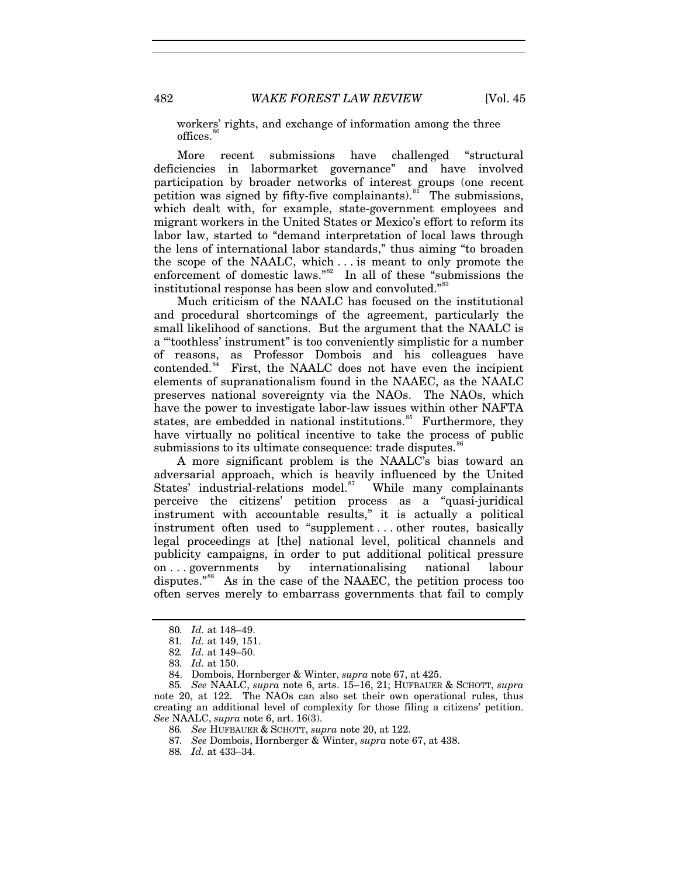workers' rights, and exchange of information among the three offices.

More recent submissions have challenged "structural deficiencies in labormarket governance" and have involved participation by broader networks of interest groups (one recent petition was signed by fifty-five complainants). $81^{\circ}$  $81^{\circ}$  The submissions, which dealt with, for example, state-government employees and migrant workers in the United States or Mexico's effort to reform its labor law, started to "demand interpretation of local laws through the lens of international labor standards," thus aiming "to broaden the scope of the NAALC, which . . . is meant to only promote the enforcement of domestic laws."<sup>[82](#page-13-2)</sup> In all of these "submissions the institutional response has been slow and convoluted."<sup>[83](#page-13-3)</sup>

Much criticism of the NAALC has focused on the institutional and procedural shortcomings of the agreement, particularly the small likelihood of sanctions. But the argument that the NAALC is a "'toothless' instrument" is too conveniently simplistic for a number of reasons, as Professor Dombois and his colleagues have contended. $84$  First, the NAALC does not have even the incipient elements of supranationalism found in the NAAEC, as the NAALC preserves national sovereignty via the NAOs. The NAOs, which have the power to investigate labor-law issues within other NAFTA states, are embedded in national institutions.<sup>[85](#page-13-5)</sup> Furthermore, they have virtually no political incentive to take the process of public submissions to its ultimate consequence: trade disputes.<sup>[86](#page-13-6)</sup>

A more significant problem is the NAALC's bias toward an adversarial approach, which is heavily influenced by the United States' industrial-relations model. $87$  While many complainants perceive the citizens' petition process as a "quasi-juridical instrument with accountable results," it is actually a political instrument often used to "supplement . . . other routes, basically legal proceedings at [the] national level, political channels and publicity campaigns, in order to put additional political pressure on . . . governments by internationalising national labour disputes."<sup>88</sup> As in the case of the NAAEC, the petition process too often serves merely to embarrass governments that fail to comply

<sup>80</sup>*. Id.* at 148–49.

<sup>81</sup>*. Id.* at 149, 151.

<sup>82</sup>*. Id.* at 149–50.

<sup>83</sup>*. Id.* at 150.

<sup>84.</sup> Dombois, Hornberger & Winter, *supra* note 67, at 425.

<span id="page-13-8"></span><span id="page-13-7"></span><span id="page-13-6"></span><span id="page-13-5"></span><span id="page-13-4"></span><span id="page-13-3"></span><span id="page-13-2"></span><span id="page-13-1"></span><span id="page-13-0"></span><sup>85</sup>*. See* NAALC, *supra* note 6, arts. 15–16, 21; HUFBAUER & SCHOTT, *supra* note 20, at 122. The NAOs can also set their own operational rules, thus creating an additional level of complexity for those filing a citizens' petition. *See* NAALC, *supra* note 6, art. 16(3).

<sup>86</sup>*. See* HUFBAUER & SCHOTT, *supra* note 20, at 122.

<sup>87</sup>*. See* Dombois, Hornberger & Winter, *supra* note 67, at 438.

<sup>88</sup>*. Id.* at 433–34.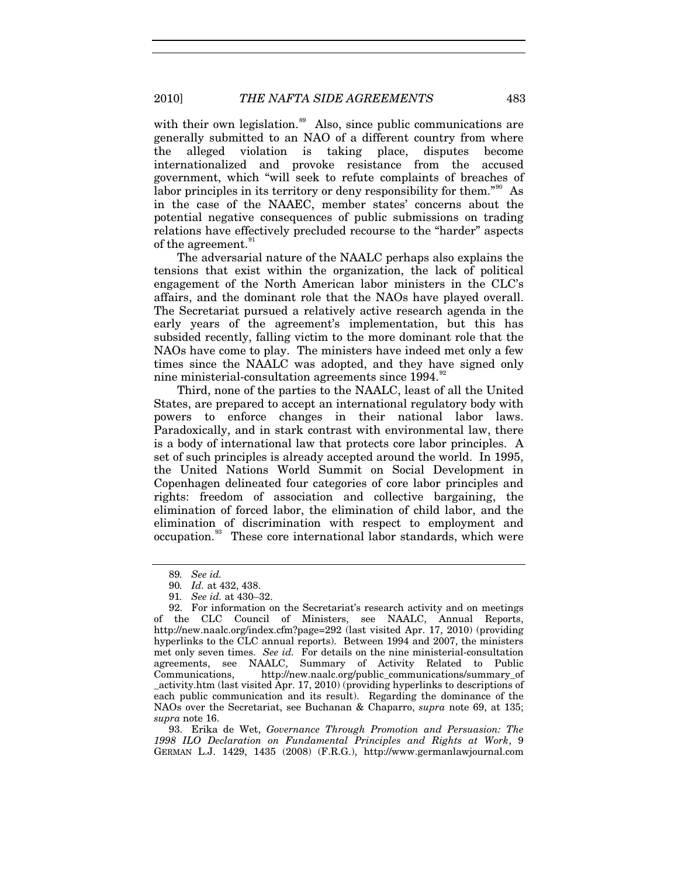with their own legislation. $\frac{89}{10}$  $\frac{89}{10}$  $\frac{89}{10}$  Also, since public communications are generally submitted to an NAO of a different country from where the alleged violation is taking place, disputes become internationalized and provoke resistance from the accused government, which "will seek to refute complaints of breaches of labor principles in its territory or deny responsibility for them."<sup>[90](#page-14-1)</sup> As in the case of the NAAEC, member states' concerns about the potential negative consequences of public submissions on trading relations have effectively precluded recourse to the "harder" aspects of the agreement.<sup>9</sup>

The adversarial nature of the NAALC perhaps also explains the tensions that exist within the organization, the lack of political engagement of the North American labor ministers in the CLC's affairs, and the dominant role that the NAOs have played overall. The Secretariat pursued a relatively active research agenda in the early years of the agreement's implementation, but this has subsided recently, falling victim to the more dominant role that the NAOs have come to play. The ministers have indeed met only a few times since the NAALC was adopted, and they have signed only nine ministerial-consultation agreements since 1994.<sup>[92](#page-14-3)</sup>

Third, none of the parties to the NAALC, least of all the United States, are prepared to accept an international regulatory body with powers to enforce changes in their national labor laws. Paradoxically, and in stark contrast with environmental law, there is a body of international law that protects core labor principles. A set of such principles is already accepted around the world. In 1995, the United Nations World Summit on Social Development in Copenhagen delineated four categories of core labor principles and rights: freedom of association and collective bargaining, the elimination of forced labor, the elimination of child labor, and the elimination of discrimination with respect to employment and occupation.[93](#page-14-4) These core international labor standards, which were

<span id="page-14-4"></span>93. Erika de Wet, *Governance Through Promotion and Persuasion: The 1998 ILO Declaration on Fundamental Principles and Rights at Work*, 9 GERMAN L.J. 1429, 1435 (2008) (F.R.G.), http://www.germanlawjournal.com

<sup>89</sup>*. See id.*

<sup>90</sup>*. Id.* at 432, 438.

<sup>91</sup>*. See id.* at 430–32.

<span id="page-14-3"></span><span id="page-14-2"></span><span id="page-14-1"></span><span id="page-14-0"></span><sup>92.</sup> For information on the Secretariat's research activity and on meetings of the CLC Council of Ministers, see NAALC, Annual Reports, http://new.naalc.org/index.cfm?page=292 (last visited Apr. 17, 2010) (providing hyperlinks to the CLC annual reports). Between 1994 and 2007, the ministers met only seven times. *See id.* For details on the nine ministerial-consultation agreements, see NAALC, Summary of Activity Related to Public Communications, http://new.naalc.org/public\_communications/summary\_of \_activity.htm (last visited Apr. 17, 2010) (providing hyperlinks to descriptions of each public communication and its result). Regarding the dominance of the NAOs over the Secretariat, see Buchanan & Chaparro, *supra* note 69, at 135; *supra* note 16.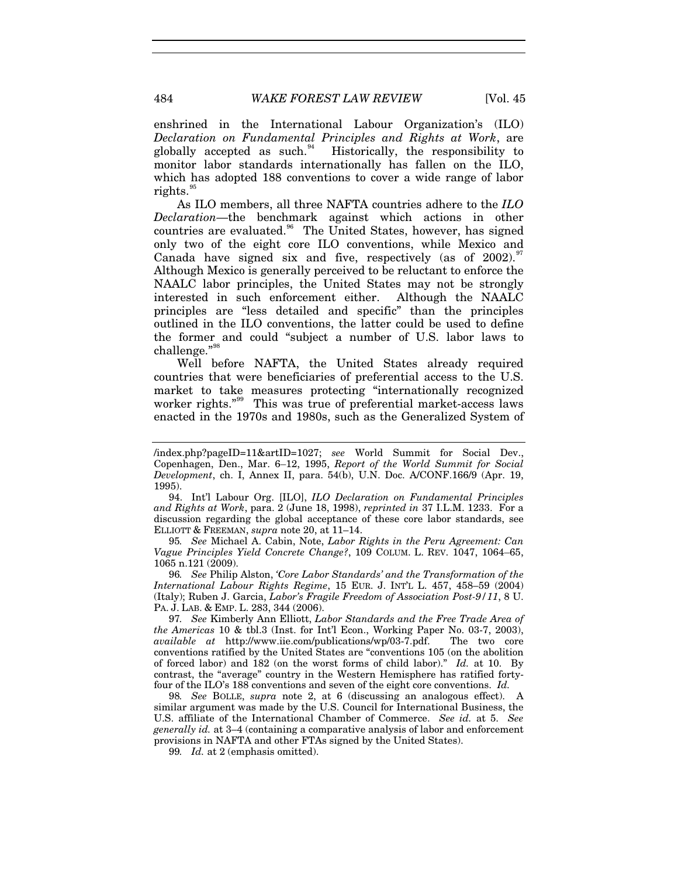enshrined in the International Labour Organization's (ILO) *Declaration on Fundamental Principles and Rights at Work*, are globally accepted as such.<sup>[94](#page-15-0)</sup> Historically, the responsibility to monitor labor standards internationally has fallen on the ILO, which has adopted 188 conventions to cover a wide range of labor rights.<sup>[95](#page-15-1)</sup>

As ILO members, all three NAFTA countries adhere to the *ILO Declaration*—the benchmark against which actions in other countries are evaluated.<sup>[96](#page-15-2)</sup> The United States, however, has signed only two of the eight core ILO conventions, while Mexico and Canada have signed six and five, respectively (as of  $2002$ ). Although Mexico is generally perceived to be reluctant to enforce the NAALC labor principles, the United States may not be strongly interested in such enforcement either. Although the NAALC principles are "less detailed and specific" than the principles outlined in the ILO conventions, the latter could be used to define the former and could "subject a number of U.S. labor laws to challenge."[98](#page-15-4)

Well before NAFTA, the United States already required countries that were beneficiaries of preferential access to the U.S. market to take measures protecting "internationally recognized worker rights.<sup>"[99](#page-15-5)</sup> This was true of preferential market-access laws enacted in the 1970s and 1980s, such as the Generalized System of

<span id="page-15-1"></span>95*. See* Michael A. Cabin, Note, *Labor Rights in the Peru Agreement: Can Vague Principles Yield Concrete Change?*, 109 COLUM. L. REV. 1047, 1064–65, 1065 n.121 (2009).

<span id="page-15-2"></span>96*. See* Philip Alston, *'Core Labor Standards' and the Transformation of the International Labour Rights Regime*, 15 EUR. J. INT'L L. 457, 458–59 (2004) (Italy); Ruben J. Garcia, *Labor's Fragile Freedom of Association Post-9/11*, 8 U. PA. J. LAB. & EMP. L. 283, 344 (2006).

<span id="page-15-3"></span>97*. See* Kimberly Ann Elliott, *Labor Standards and the Free Trade Area of the Americas* 10 & tbl.3 (Inst. for Int'l Econ., Working Paper No. 03-7, 2003), *available at* http://www.iie.com/publications/wp/03-7.pdf. The two core *available at* http://www.iie.com/publications/wp/03-7.pdf. conventions ratified by the United States are "conventions 105 (on the abolition of forced labor) and 182 (on the worst forms of child labor)." *Id.* at 10. By contrast, the "average" country in the Western Hemisphere has ratified fortyfour of the ILO's 188 conventions and seven of the eight core conventions. *Id.*

<span id="page-15-5"></span><span id="page-15-4"></span>98*. See* BOLLE, *supra* note 2, at 6 (discussing an analogous effect). A similar argument was made by the U.S. Council for International Business, the U.S. affiliate of the International Chamber of Commerce. *See id.* at 5. *See generally id.* at 3–4 (containing a comparative analysis of labor and enforcement provisions in NAFTA and other FTAs signed by the United States).

99*. Id.* at 2 (emphasis omitted).

<sup>/</sup>index.php?pageID=11&artID=1027; *see* World Summit for Social Dev., Copenhagen, Den., Mar. 6–12, 1995, *Report of the World Summit for Social Development*, ch. I, Annex II, para. 54(b), U.N. Doc. A/CONF.166/9 (Apr. 19, 1995).

<span id="page-15-0"></span><sup>94.</sup> Int'l Labour Org. [ILO], *ILO Declaration on Fundamental Principles and Rights at Work*, para. 2 (June 18, 1998), *reprinted in* 37 I.L.M. 1233. For a discussion regarding the global acceptance of these core labor standards, see ELLIOTT & FREEMAN, *supra* note 20, at 11–14.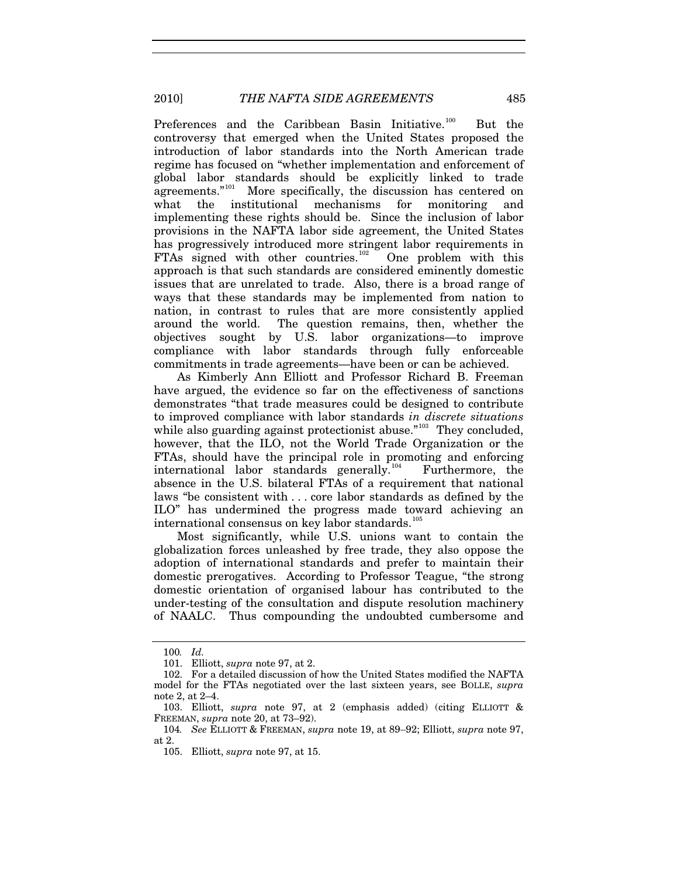Preferences and the Caribbean Basin Initiative.<sup>[100](#page-16-0)</sup> But the controversy that emerged when the United States proposed the introduction of labor standards into the North American trade regime has focused on "whether implementation and enforcement of global labor standards should be explicitly linked to trade  $a$ greements."<sup>[101](#page-16-1)</sup> More specifically, the discussion has centered on what the institutional mechanisms for monitoring and implementing these rights should be. Since the inclusion of labor provisions in the NAFTA labor side agreement, the United States has progressively introduced more stringent labor requirements in FTAs signed with other countries.<sup>[102](#page-16-2)</sup> One problem with this approach is that such standards are considered eminently domestic issues that are unrelated to trade. Also, there is a broad range of ways that these standards may be implemented from nation to nation, in contrast to rules that are more consistently applied around the world. The question remains, then, whether the objectives sought by U.S. labor organizations—to improve compliance with labor standards through fully enforceable commitments in trade agreements—have been or can be achieved.

As Kimberly Ann Elliott and Professor Richard B. Freeman have argued, the evidence so far on the effectiveness of sanctions demonstrates "that trade measures could be designed to contribute to improved compliance with labor standards *in discrete situations* while also guarding against protectionist abuse."<sup>[103](#page-16-3)</sup> They concluded, however, that the ILO, not the World Trade Organization or the FTAs, should have the principal role in promoting and enforcing international labor standards generally.<sup>[104](#page-16-4)</sup> Furthermore, the absence in the U.S. bilateral FTAs of a requirement that national laws "be consistent with . . . core labor standards as defined by the ILO" has undermined the progress made toward achieving an international consensus on key labor standards. $10$ 

Most significantly, while U.S. unions want to contain the globalization forces unleashed by free trade, they also oppose the adoption of international standards and prefer to maintain their domestic prerogatives. According to Professor Teague, "the strong domestic orientation of organised labour has contributed to the under-testing of the consultation and dispute resolution machinery of NAALC. Thus compounding the undoubted cumbersome and

<sup>100</sup>*. Id.*

<sup>101.</sup> Elliott, *supra* note 97, at 2.

<span id="page-16-2"></span><span id="page-16-1"></span><span id="page-16-0"></span><sup>102.</sup> For a detailed discussion of how the United States modified the NAFTA model for the FTAs negotiated over the last sixteen years, see BOLLE, *supra* note 2, at 2–4.

<span id="page-16-3"></span><sup>103.</sup> Elliott, *supra* note 97, at 2 (emphasis added) (citing ELLIOTT & FREEMAN, *supra* note 20, at 73–92).

<span id="page-16-5"></span><span id="page-16-4"></span><sup>104</sup>*. See* ELLIOTT & FREEMAN, *supra* note 19, at 89–92; Elliott, *supra* note 97, at 2.

<sup>105.</sup> Elliott, *supra* note 97, at 15.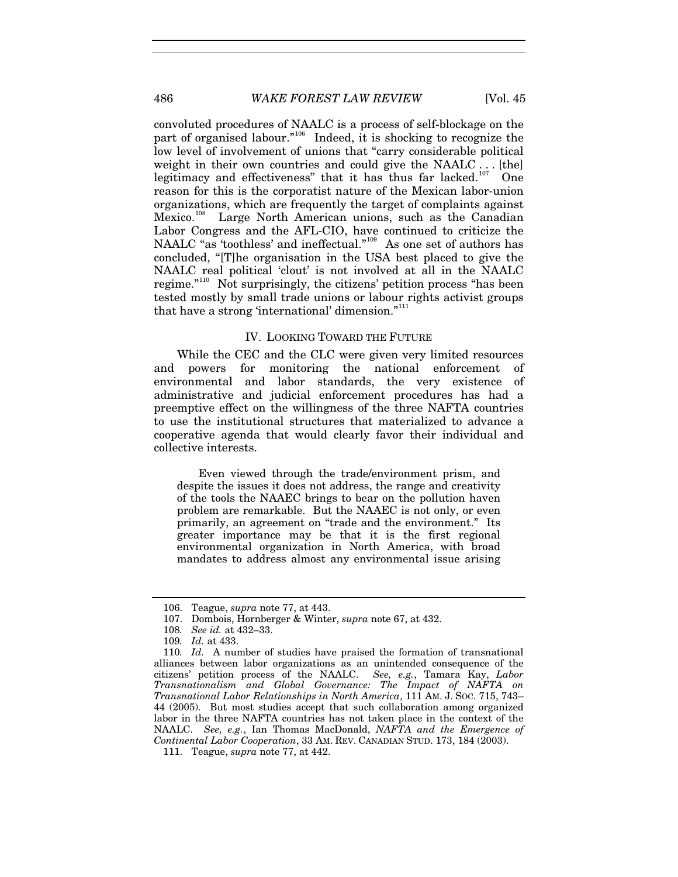486 *WAKE FOREST LAW REVIEW* [Vol. 45

convoluted procedures of NAALC is a process of self-blockage on the part of organised labour."<sup>[106](#page-17-0)</sup> Indeed, it is shocking to recognize the low level of involvement of unions that "carry considerable political weight in their own countries and could give the NAALC . . . [the] legitimacy and effectiveness" that it has thus far lacked.<sup>[107](#page-17-1)</sup> One reason for this is the corporatist nature of the Mexican labor-union organizations, which are frequently the target of complaints against Mexico.<sup>[108](#page-17-2)</sup> Large North American unions, such as the Canadian Labor Congress and the AFL-CIO, have continued to criticize the NAALC "as 'toothless' and ineffectual."<sup>[109](#page-17-3)</sup> As one set of authors has concluded, "[T]he organisation in the USA best placed to give the NAALC real political 'clout' is not involved at all in the NAALC regime."<sup>[110](#page-17-4)</sup> Not surprisingly, the citizens' petition process "has been tested mostly by small trade unions or labour rights activist groups that have a strong 'international' dimension."[111](#page-17-5)

### IV. LOOKING TOWARD THE FUTURE

While the CEC and the CLC were given very limited resources and powers for monitoring the national enforcement of environmental and labor standards, the very existence of administrative and judicial enforcement procedures has had a preemptive effect on the willingness of the three NAFTA countries to use the institutional structures that materialized to advance a cooperative agenda that would clearly favor their individual and collective interests.

Even viewed through the trade/environment prism, and despite the issues it does not address, the range and creativity of the tools the NAAEC brings to bear on the pollution haven problem are remarkable. But the NAAEC is not only, or even primarily, an agreement on "trade and the environment." Its greater importance may be that it is the first regional environmental organization in North America, with broad mandates to address almost any environmental issue arising

<sup>106.</sup> Teague, *supra* note 77, at 443.

<sup>107.</sup> Dombois, Hornberger & Winter, *supra* note 67, at 432.

<sup>108</sup>*. See id.* at 432–33.

<sup>109</sup>*. Id.* at 433.

<span id="page-17-4"></span><span id="page-17-3"></span><span id="page-17-2"></span><span id="page-17-1"></span><span id="page-17-0"></span><sup>110</sup>*. Id.* A number of studies have praised the formation of transnational alliances between labor organizations as an unintended consequence of the citizens' petition process of the NAALC. *See, e.g.*, Tamara Kay, *Labor Transnationalism and Global Governance: The Impact of NAFTA on Transnational Labor Relationships in North America*, 111 AM. J. SOC. 715, 743– 44 (2005). But most studies accept that such collaboration among organized labor in the three NAFTA countries has not taken place in the context of the NAALC. *See, e.g.*, Ian Thomas MacDonald, *NAFTA and the Emergence of Continental Labor Cooperation*, 33 AM. REV. CANADIAN STUD. 173, 184 (2003).

<span id="page-17-5"></span><sup>111.</sup> Teague, *supra* note 77, at 442.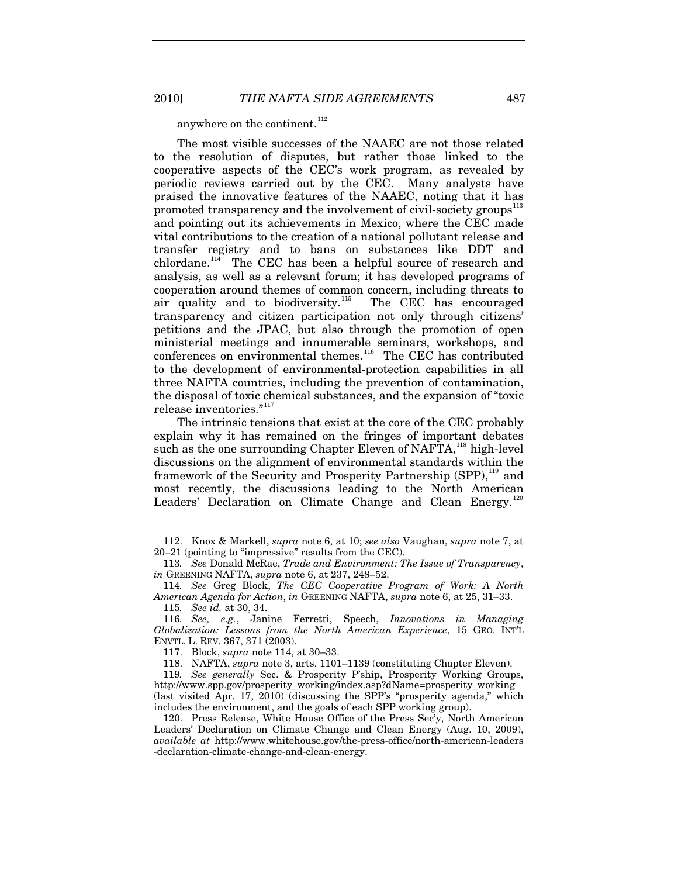anywhere on the continent.<sup>[112](#page-18-0)</sup>

The most visible successes of the NAAEC are not those related to the resolution of disputes, but rather those linked to the cooperative aspects of the CEC's work program, as revealed by periodic reviews carried out by the CEC. Many analysts have praised the innovative features of the NAAEC, noting that it has promoted transparency and the involvement of civil-society groups<sup>[113](#page-18-1)</sup> and pointing out its achievements in Mexico, where the CEC made vital contributions to the creation of a national pollutant release and transfer registry and to bans on substances like DDT and chlordane.<sup>[114](#page-18-2)</sup> The CEC has been a helpful source of research and analysis, as well as a relevant forum; it has developed programs of cooperation around themes of common concern, including threats to air quality and to biodiversity.<sup>[115](#page-18-3)</sup> The CEC has encouraged transparency and citizen participation not only through citizens' petitions and the JPAC, but also through the promotion of open ministerial meetings and innumerable seminars, workshops, and conferences on environmental themes.<sup>[116](#page-18-4)</sup> The CEC has contributed to the development of environmental-protection capabilities in all three NAFTA countries, including the prevention of contamination, the disposal of toxic chemical substances, and the expansion of "toxic release inventories."<sup>[117](#page-18-5)</sup>

The intrinsic tensions that exist at the core of the CEC probably explain why it has remained on the fringes of important debates such as the one surrounding Chapter Eleven of NAFTA,<sup>[118](#page-18-6)</sup> high-level discussions on the alignment of environmental standards within the framework of the Security and Prosperity Partnership  $(SPP)$ ,<sup>[119](#page-18-7)</sup> and most recently, the discussions leading to the North American Leaders' Declaration on Climate Change and Clean Energy.<sup>[120](#page-18-8)</sup>

<span id="page-18-7"></span><span id="page-18-6"></span><span id="page-18-5"></span>119*. See generally* Sec. & Prosperity P'ship, Prosperity Working Groups, http://www.spp.gov/prosperity\_working/index.asp?dName=prosperity\_working (last visited Apr. 17, 2010) (discussing the SPP's "prosperity agenda," which includes the environment, and the goals of each SPP working group).

<span id="page-18-0"></span><sup>112.</sup> Knox & Markell, *supra* note 6, at 10; *see also* Vaughan, *supra* note 7, at 20–21 (pointing to "impressive" results from the CEC).

<span id="page-18-1"></span><sup>113</sup>*. See* Donald McRae, *Trade and Environment: The Issue of Transparency*, *in* GREENING NAFTA, *supra* note 6, at 237, 248–52.

<span id="page-18-2"></span><sup>114</sup>*. See* Greg Block, *The CEC Cooperative Program of Work: A North American Agenda for Action*, *in* GREENING NAFTA, *supra* note 6, at 25, 31–33. 115*. See id.* at 30, 34.

<span id="page-18-4"></span><span id="page-18-3"></span><sup>116</sup>*. See, e.g.*, Janine Ferretti, Speech, *Innovations in Managing Globalization: Lessons from the North American Experience*, 15 GEO. INT'L ENVTL. L. REV. 367, 371 (2003).

<sup>117.</sup> Block, *supra* note 114, at 30–33.

<sup>118.</sup> NAFTA, *supra* note 3, arts. 1101–1139 (constituting Chapter Eleven).

<span id="page-18-8"></span><sup>120.</sup> Press Release, White House Office of the Press Sec'y, North American Leaders' Declaration on Climate Change and Clean Energy (Aug. 10, 2009), *available at* http://www.whitehouse.gov/the-press-office/north-american-leaders -declaration-climate-change-and-clean-energy.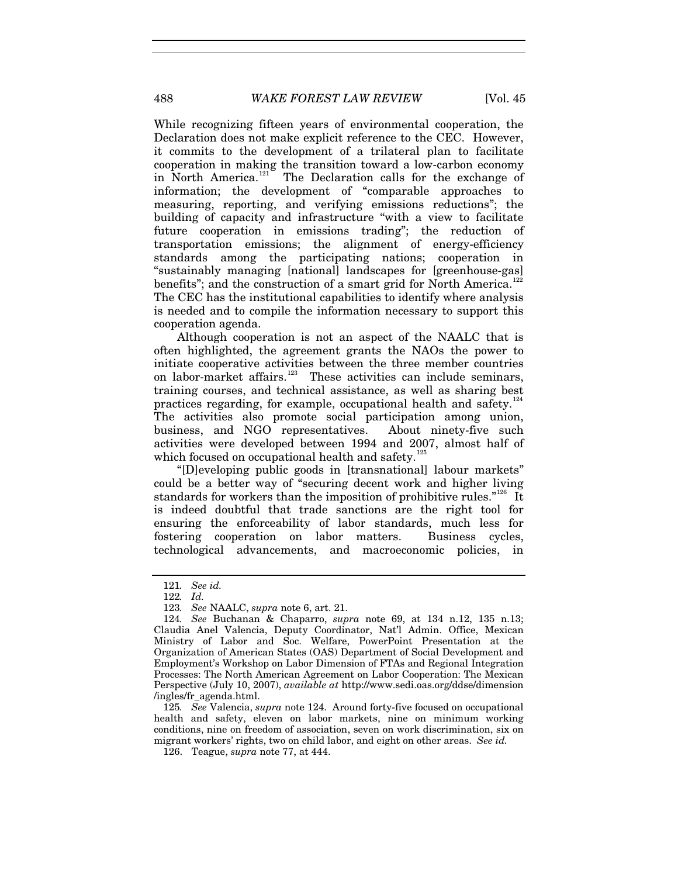While recognizing fifteen years of environmental cooperation, the Declaration does not make explicit reference to the CEC. However, it commits to the development of a trilateral plan to facilitate cooperation in making the transition toward a low-carbon economy in North America.<sup>[121](#page-19-0)</sup> The Declaration calls for the exchange of information; the development of "comparable approaches to measuring, reporting, and verifying emissions reductions"; the building of capacity and infrastructure "with a view to facilitate future cooperation in emissions trading"; the reduction of transportation emissions; the alignment of energy-efficiency standards among the participating nations; cooperation in "sustainably managing [national] landscapes for [greenhouse-gas] benefits"; and the construction of a smart grid for North America.<sup>1</sup> The CEC has the institutional capabilities to identify where analysis is needed and to compile the information necessary to support this cooperation agenda.

Although cooperation is not an aspect of the NAALC that is often highlighted, the agreement grants the NAOs the power to initiate cooperative activities between the three member countries on labor-market affairs.<sup>[123](#page-19-2)</sup> These activities can include seminars, training courses, and technical assistance, as well as sharing best practices regarding, for example, occupational health and safety. $124$ The activities also promote social participation among union, business, and NGO representatives. About ninety-five such activities were developed between 1994 and 2007, almost half of which focused on occupational health and safety.<sup>[125](#page-19-4)</sup>

"[D]eveloping public goods in [transnational] labour markets" could be a better way of "securing decent work and higher living standards for workers than the imposition of prohibitive rules."<sup>[126](#page-19-5)</sup> It is indeed doubtful that trade sanctions are the right tool for ensuring the enforceability of labor standards, much less for fostering cooperation on labor matters. Business cycles, technological advancements, and macroeconomic policies, in

<span id="page-19-5"></span><span id="page-19-4"></span>125*. See* Valencia, *supra* note 124. Around forty-five focused on occupational health and safety, eleven on labor markets, nine on minimum working conditions, nine on freedom of association, seven on work discrimination, six on migrant workers' rights, two on child labor, and eight on other areas. *See id.*

<sup>121</sup>*. See id.*

<sup>122</sup>*. Id.*

<sup>123</sup>*. See* NAALC, *supra* note 6, art. 21.

<span id="page-19-3"></span><span id="page-19-2"></span><span id="page-19-1"></span><span id="page-19-0"></span><sup>124</sup>*. See* Buchanan & Chaparro, *supra* note 69, at 134 n.12, 135 n.13; Claudia Anel Valencia, Deputy Coordinator, Nat'l Admin. Office, Mexican Ministry of Labor and Soc. Welfare, PowerPoint Presentation at the Organization of American States (OAS) Department of Social Development and Employment's Workshop on Labor Dimension of FTAs and Regional Integration Processes: The North American Agreement on Labor Cooperation: The Mexican Perspective (July 10, 2007), *available at* http://www.sedi.oas.org/ddse/dimension /ingles/fr\_agenda.html.

<sup>126.</sup> Teague, *supra* note 77, at 444.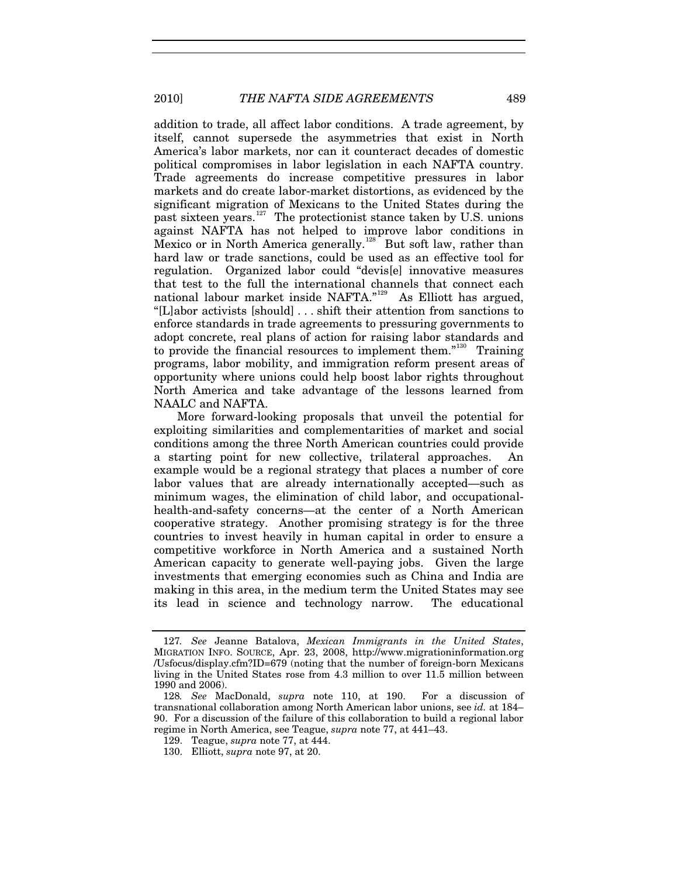addition to trade, all affect labor conditions. A trade agreement, by itself, cannot supersede the asymmetries that exist in North America's labor markets, nor can it counteract decades of domestic political compromises in labor legislation in each NAFTA country. Trade agreements do increase competitive pressures in labor markets and do create labor-market distortions, as evidenced by the significant migration of Mexicans to the United States during the past sixteen years.<sup>[127](#page-20-0)</sup> The protectionist stance taken by U.S. unions against NAFTA has not helped to improve labor conditions in Mexico or in North America generally.<sup>[128](#page-20-1)</sup> But soft law, rather than hard law or trade sanctions, could be used as an effective tool for regulation. Organized labor could "devis[e] innovative measures that test to the full the international channels that connect each national labour market inside NAFTA."<sup>[129](#page-20-2)</sup> As Elliott has argued, "[L]abor activists [should] . . . shift their attention from sanctions to enforce standards in trade agreements to pressuring governments to adopt concrete, real plans of action for raising labor standards and to provide the financial resources to implement them."[130](#page-20-3) Training programs, labor mobility, and immigration reform present areas of opportunity where unions could help boost labor rights throughout North America and take advantage of the lessons learned from NAALC and NAFTA.

More forward-looking proposals that unveil the potential for exploiting similarities and complementarities of market and social conditions among the three North American countries could provide a starting point for new collective, trilateral approaches. An example would be a regional strategy that places a number of core labor values that are already internationally accepted—such as minimum wages, the elimination of child labor, and occupationalhealth-and-safety concerns—at the center of a North American cooperative strategy. Another promising strategy is for the three countries to invest heavily in human capital in order to ensure a competitive workforce in North America and a sustained North American capacity to generate well-paying jobs. Given the large investments that emerging economies such as China and India are making in this area, in the medium term the United States may see its lead in science and technology narrow. The educational

<span id="page-20-0"></span><sup>127</sup>*. See* Jeanne Batalova, *Mexican Immigrants in the United States*, MIGRATION INFO. SOURCE, Apr. 23, 2008, http://www.migrationinformation.org /Usfocus/display.cfm?ID=679 (noting that the number of foreign-born Mexicans living in the United States rose from 4.3 million to over 11.5 million between 1990 and 2006).

<span id="page-20-2"></span><span id="page-20-1"></span><sup>128</sup>*. See* MacDonald, *supra* note 110, at 190. For a discussion of transnational collaboration among North American labor unions, see *id.* at 184– 90. For a discussion of the failure of this collaboration to build a regional labor regime in North America, see Teague, *supra* note 77, at 441–43.

<span id="page-20-3"></span><sup>129.</sup> Teague, *supra* note 77, at 444.

<sup>130.</sup> Elliott, *supra* note 97, at 20.